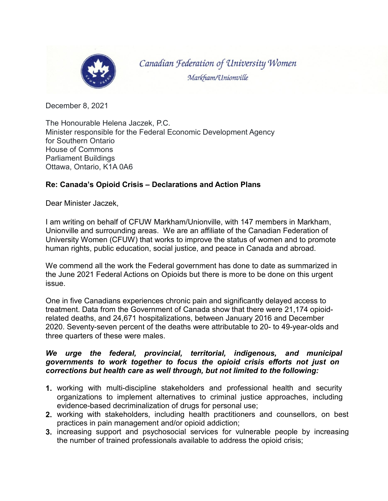

Canadian Federation of University Women Markham/Unionville

December 8, 2021

The Honourable Helena Jaczek, P.C. Minister responsible for the Federal Economic Development Agency for Southern Ontario House of Commons Parliament Buildings Ottawa, Ontario, K1A 0A6

## **Re: Canada's Opioid Crisis – Declarations and Action Plans**

Dear Minister Jaczek,

I am writing on behalf of CFUW Markham/Unionville, with 147 members in Markham, Unionville and surrounding areas. We are an affiliate of the Canadian Federation of University Women (CFUW) that works to improve the status of women and to promote human rights, public education, social justice, and peace in Canada and abroad.

We commend all the work the Federal government has done to date as summarized in the June 2021 Federal Actions on Opioids but there is more to be done on this urgent issue.

One in five Canadians experiences chronic pain and significantly delayed access to treatment. Data from the Government of Canada show that there were 21,174 opioidrelated deaths, and 24,671 hospitalizations, between January 2016 and December 2020. Seventy-seven percent of the deaths were attributable to 20- to 49-year-olds and three quarters of these were males.

## *We urge the federal, provincial, territorial, indigenous, and municipal governments to work together to focus the opioid crisis efforts not just on corrections but health care as well through, but not limited to the following:*

- **1.** working with multi-discipline stakeholders and professional health and security organizations to implement alternatives to criminal justice approaches, including evidence-based decriminalization of drugs for personal use;
- **2.** working with stakeholders, including health practitioners and counsellors, on best practices in pain management and/or opioid addiction;
- **3.** increasing support and psychosocial services for vulnerable people by increasing the number of trained professionals available to address the opioid crisis;